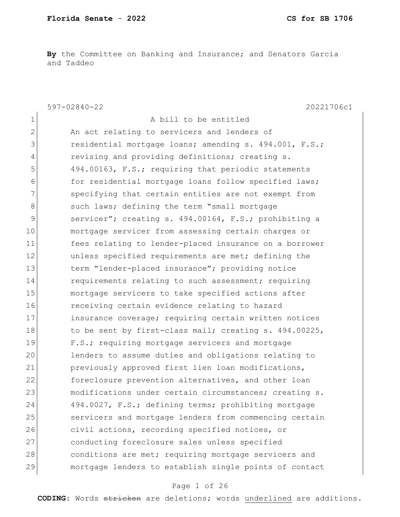**By** the Committee on Banking and Insurance; and Senators Garcia and Taddeo

597-02840-22 20221706c1 1 A bill to be entitled 2 An act relating to servicers and lenders of 3 residential mortgage loans; amending s. 494.001, F.S.; 4 revising and providing definitions; creating s. 5 494.00163, F.S.; requiring that periodic statements 6 for residential mortgage loans follow specified laws; 7 Specifying that certain entities are not exempt from 8 such laws; defining the term "small mortgage 9 servicer"; creating s. 494.00164, F.S.; prohibiting a 10 mortgage servicer from assessing certain charges or 11 fees relating to lender-placed insurance on a borrower 12 **unless** specified requirements are met; defining the 13 term "lender-placed insurance"; providing notice 14 requirements relating to such assessment; requiring 15 mortgage servicers to take specified actions after 16 receiving certain evidence relating to hazard 17 insurance coverage; requiring certain written notices 18 to be sent by first-class mail; creating s. 494.00225, 19 F.S.; requiring mortgage servicers and mortgage 20 lenders to assume duties and obligations relating to 21 previously approved first lien loan modifications, 22 foreclosure prevention alternatives, and other loan 23 modifications under certain circumstances; creating s. 24 494.0027, F.S.; defining terms; prohibiting mortgage 25 servicers and mortgage lenders from commencing certain 26 civil actions, recording specified notices, or 27 conducting foreclosure sales unless specified 28 conditions are met; requiring mortgage servicers and 29 mortgage lenders to establish single points of contact

#### Page 1 of 26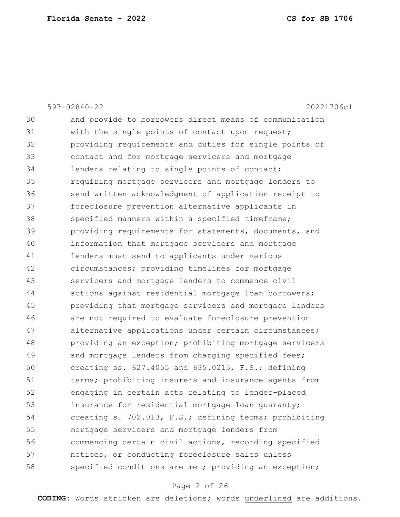|    | $597 - 02840 - 22$<br>20221706c1                        |
|----|---------------------------------------------------------|
| 30 | and provide to borrowers direct means of communication  |
| 31 | with the single points of contact upon request;         |
| 32 | providing requirements and duties for single points of  |
| 33 | contact and for mortgage servicers and mortgage         |
| 34 | lenders relating to single points of contact;           |
| 35 | requiring mortgage servicers and mortgage lenders to    |
| 36 | send written acknowledgment of application receipt to   |
| 37 | foreclosure prevention alternative applicants in        |
| 38 | specified manners within a specified timeframe;         |
| 39 | providing requirements for statements, documents, and   |
| 40 | information that mortgage servicers and mortgage        |
| 41 | lenders must send to applicants under various           |
| 42 | circumstances; providing timelines for mortgage         |
| 43 | servicers and mortgage lenders to commence civil        |
| 44 | actions against residential mortgage loan borrowers;    |
| 45 | providing that mortgage servicers and mortgage lenders  |
| 46 | are not required to evaluate foreclosure prevention     |
| 47 | alternative applications under certain circumstances;   |
| 48 | providing an exception; prohibiting mortgage servicers  |
| 49 | and mortgage lenders from charging specified fees;      |
| 50 | creating ss. $627.4055$ and $635.0215$ , F.S.; defining |
| 51 | terms; prohibiting insurers and insurance agents from   |
| 52 | engaging in certain acts relating to lender-placed      |
| 53 | insurance for residential mortgage loan guaranty;       |
| 54 | creating s. 702.013, F.S.; defining terms; prohibiting  |
| 55 | mortgage servicers and mortgage lenders from            |
| 56 | commencing certain civil actions, recording specified   |
| 57 | notices, or conducting foreclosure sales unless         |
| 58 | specified conditions are met; providing an exception;   |
|    |                                                         |

# Page 2 of 26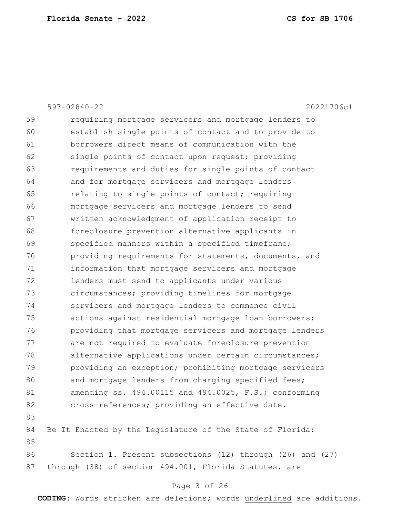|    | $597 - 02840 - 22$<br>20221706c1                           |
|----|------------------------------------------------------------|
| 59 | requiring mortgage servicers and mortgage lenders to       |
| 60 | establish single points of contact and to provide to       |
| 61 | borrowers direct means of communication with the           |
| 62 | single points of contact upon request; providing           |
| 63 | requirements and duties for single points of contact       |
| 64 | and for mortgage servicers and mortgage lenders            |
| 65 | relating to single points of contact; requiring            |
| 66 | mortgage servicers and mortgage lenders to send            |
| 67 | written acknowledgment of application receipt to           |
| 68 | foreclosure prevention alternative applicants in           |
| 69 | specified manners within a specified timeframe;            |
| 70 | providing requirements for statements, documents, and      |
| 71 | information that mortgage servicers and mortgage           |
| 72 | lenders must send to applicants under various              |
| 73 | circumstances; providing timelines for mortgage            |
| 74 | servicers and mortgage lenders to commence civil           |
| 75 | actions against residential mortgage loan borrowers;       |
| 76 | providing that mortgage servicers and mortgage lenders     |
| 77 | are not required to evaluate foreclosure prevention        |
| 78 | alternative applications under certain circumstances;      |
| 79 | providing an exception; prohibiting mortgage servicers     |
| 80 | and mortgage lenders from charging specified fees;         |
| 81 | amending ss. $494.00115$ and $494.0025$ , F.S.; conforming |
| 82 | cross-references; providing an effective date.             |
| 83 |                                                            |
| 84 | Be It Enacted by the Legislature of the State of Florida:  |
| 85 |                                                            |
| 86 | Section 1. Present subsections (12) through (26) and (27)  |
| 87 | through (38) of section 494.001, Florida Statutes, are     |
|    |                                                            |

### Page 3 of 26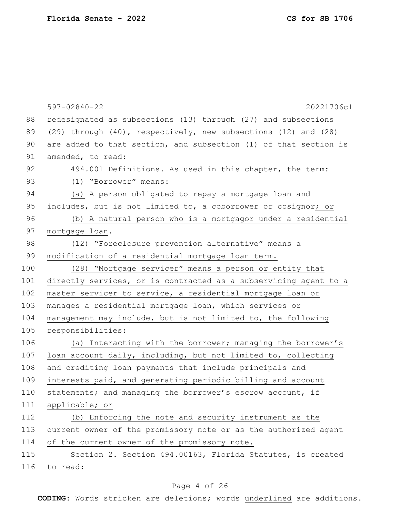|     | $597 - 02840 - 22$<br>20221706c1                                 |
|-----|------------------------------------------------------------------|
| 88  | redesignated as subsections (13) through (27) and subsections    |
| 89  | (29) through (40), respectively, new subsections (12) and (28)   |
| 90  | are added to that section, and subsection (1) of that section is |
| 91  | amended, to read:                                                |
| 92  | 494.001 Definitions. - As used in this chapter, the term:        |
| 93  | (1) "Borrower" means:                                            |
| 94  | (a) A person obligated to repay a mortgage loan and              |
| 95  | includes, but is not limited to, a coborrower or cosignor; or    |
| 96  | (b) A natural person who is a mortgagor under a residential      |
| 97  | mortgage loan.                                                   |
| 98  | (12) "Foreclosure prevention alternative" means a                |
| 99  | modification of a residential mortgage loan term.                |
| 100 | (28) "Mortgage servicer" means a person or entity that           |
| 101 | directly services, or is contracted as a subservicing agent to a |
| 102 | master servicer to service, a residential mortgage loan or       |
| 103 | manages a residential mortgage loan, which services or           |
| 104 | management may include, but is not limited to, the following     |
| 105 | responsibilities:                                                |
| 106 | (a) Interacting with the borrower; managing the borrower's       |
| 107 | loan account daily, including, but not limited to, collecting    |
| 108 | and crediting loan payments that include principals and          |
| 109 | interests paid, and generating periodic billing and account      |
| 110 | statements; and managing the borrower's escrow account, if       |
| 111 | applicable; or                                                   |
| 112 | (b) Enforcing the note and security instrument as the            |
| 113 | current owner of the promissory note or as the authorized agent  |
| 114 | of the current owner of the promissory note.                     |
| 115 | Section 2. Section 494.00163, Florida Statutes, is created       |
| 116 | to read:                                                         |
|     |                                                                  |

# Page 4 of 26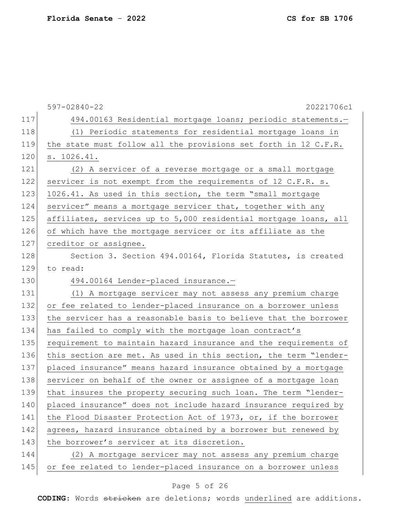|     | $597 - 02840 - 22$<br>20221706c1                                 |
|-----|------------------------------------------------------------------|
| 117 | 494.00163 Residential mortgage loans; periodic statements.-      |
| 118 | (1) Periodic statements for residential mortgage loans in        |
| 119 | the state must follow all the provisions set forth in 12 C.F.R.  |
| 120 | s. 1026.41.                                                      |
| 121 | (2) A servicer of a reverse mortgage or a small mortgage         |
| 122 | servicer is not exempt from the requirements of 12 C.F.R. s.     |
| 123 | 1026.41. As used in this section, the term "small mortgage       |
| 124 | servicer" means a mortgage servicer that, together with any      |
| 125 | affiliates, services up to 5,000 residential mortgage loans, all |
| 126 | of which have the mortgage servicer or its affiliate as the      |
| 127 | creditor or assignee.                                            |
| 128 | Section 3. Section 494.00164, Florida Statutes, is created       |
| 129 | to read:                                                         |
| 130 | 494.00164 Lender-placed insurance.-                              |
| 131 | (1) A mortgage servicer may not assess any premium charge        |
| 132 | or fee related to lender-placed insurance on a borrower unless   |
| 133 | the servicer has a reasonable basis to believe that the borrower |
| 134 | has failed to comply with the mortgage loan contract's           |
| 135 | requirement to maintain hazard insurance and the requirements of |
| 136 | this section are met. As used in this section, the term "lender- |
| 137 | placed insurance" means hazard insurance obtained by a mortgage  |
| 138 | servicer on behalf of the owner or assignee of a mortgage loan   |
| 139 | that insures the property securing such loan. The term "lender-  |
| 140 | placed insurance" does not include hazard insurance required by  |
| 141 | the Flood Disaster Protection Act of 1973, or, if the borrower   |
| 142 | agrees, hazard insurance obtained by a borrower but renewed by   |
| 143 | the borrower's servicer at its discretion.                       |
| 144 | (2) A mortgage servicer may not assess any premium charge        |
| 145 | or fee related to lender-placed insurance on a borrower unless   |

# Page 5 of 26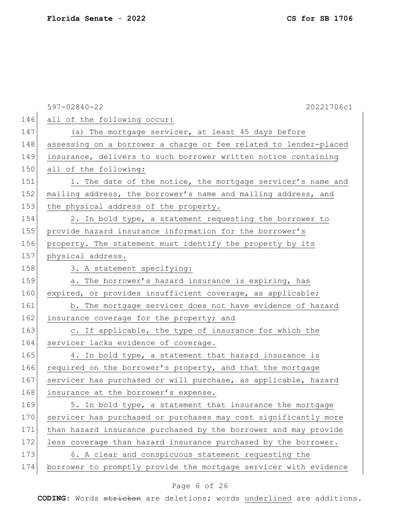|     | 20221706c1<br>$597 - 02840 - 22$                                 |
|-----|------------------------------------------------------------------|
| 146 | all of the following occur:                                      |
| 147 | (a) The mortgage servicer, at least 45 days before               |
| 148 | assessing on a borrower a charge or fee related to lender-placed |
| 149 | insurance, delivers to such borrower written notice containing   |
| 150 | all of the following:                                            |
| 151 | 1. The date of the notice, the mortgage servicer's name and      |
| 152 | mailing address, the borrower's name and mailing address, and    |
| 153 | the physical address of the property.                            |
| 154 | 2. In bold type, a statement requesting the borrower to          |
| 155 | provide hazard insurance information for the borrower's          |
| 156 | property. The statement must identify the property by its        |
| 157 | physical address.                                                |
| 158 | 3. A statement specifying:                                       |
| 159 | a. The borrower's hazard insurance is expiring, has              |
| 160 | expired, or provides insufficient coverage, as applicable;       |
| 161 | b. The mortgage servicer does not have evidence of hazard        |
| 162 | insurance coverage for the property; and                         |
| 163 | c. If applicable, the type of insurance for which the            |
| 164 | servicer lacks evidence of coverage.                             |
| 165 | 4. In bold type, a statement that hazard insurance is            |
| 166 | required on the borrower's property, and that the mortgage       |
| 167 | servicer has purchased or will purchase, as applicable, hazard   |
| 168 | insurance at the borrower's expense.                             |
| 169 | 5. In bold type, a statement that insurance the mortgage         |
| 170 | servicer has purchased or purchases may cost significantly more  |
| 171 | than hazard insurance purchased by the borrower and may provide  |
| 172 | less coverage than hazard insurance purchased by the borrower.   |
| 173 | 6. A clear and conspicuous statement requesting the              |
| 174 | borrower to promptly provide the mortgage servicer with evidence |

# Page 6 of 26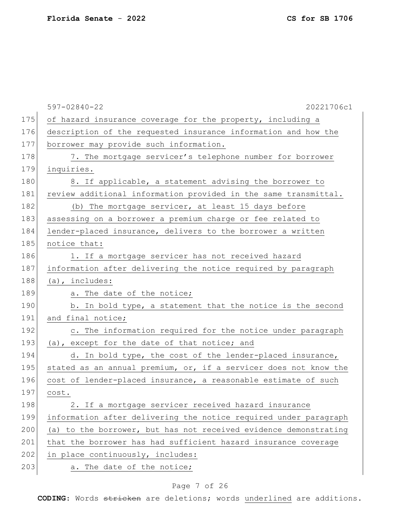597-02840-22 20221706c1 175 of hazard insurance coverage for the property, including a 176 description of the requested insurance information and how the 177 borrower may provide such information. 178 7. The mortgage servicer's telephone number for borrower 179 inquiries. 180 8. If applicable, a statement advising the borrower to 181 review additional information provided in the same transmittal. 182 (b) The mortgage servicer, at least 15 days before 183 assessing on a borrower a premium charge or fee related to 184 lender-placed insurance, delivers to the borrower a written 185 notice that: 186 1. If a mortgage servicer has not received hazard 187 information after delivering the notice required by paragraph  $188$  (a), includes: 189 a. The date of the notice; 190 b. In bold type, a statement that the notice is the second 191 and final notice; 192 c. The information required for the notice under paragraph 193 (a), except for the date of that notice; and 194 d. In bold type, the cost of the lender-placed insurance, 195 stated as an annual premium, or, if a servicer does not know the 196 cost of lender-placed insurance, a reasonable estimate of such 197 cost. 198 2. If a mortgage servicer received hazard insurance 199 information after delivering the notice required under paragraph 200 (a) to the borrower, but has not received evidence demonstrating 201 that the borrower has had sufficient hazard insurance coverage  $202$  in place continuously, includes: 203 a. The date of the notice;

### Page 7 of 26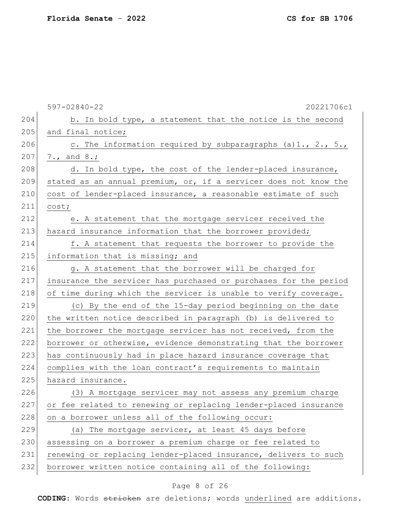597-02840-22 20221706c1  $204$  b. In bold type, a statement that the notice is the second 205 and final notice; 206 c. The information required by subparagraphs (a)1., 2., 5.,  $207$  7., and 8.; 208 d. In bold type, the cost of the lender-placed insurance, 209 stated as an annual premium, or, if a servicer does not know the 210 cost of lender-placed insurance, a reasonable estimate of such 211 cost; 212 e. A statement that the mortgage servicer received the 213 hazard insurance information that the borrower provided; 214 f. A statement that requests the borrower to provide the 215 information that is missing; and 216 g. A statement that the borrower will be charged for 217 insurance the servicer has purchased or purchases for the period 218 of time during which the servicer is unable to verify coverage. 219 (c) By the end of the 15-day period beginning on the date 220 the written notice described in paragraph (b) is delivered to 221 the borrower the mortgage servicer has not received, from the 222 borrower or otherwise, evidence demonstrating that the borrower 223 has continuously had in place hazard insurance coverage that 224 complies with the loan contract's requirements to maintain 225 hazard insurance. 226 (3) A mortgage servicer may not assess any premium charge 227 or fee related to renewing or replacing lender-placed insurance 228 on a borrower unless all of the following occur:  $229$  (a) The mortgage servicer, at least 45 days before 230 assessing on a borrower a premium charge or fee related to 231 renewing or replacing lender-placed insurance, delivers to such 232 borrower written notice containing all of the following:

### Page 8 of 26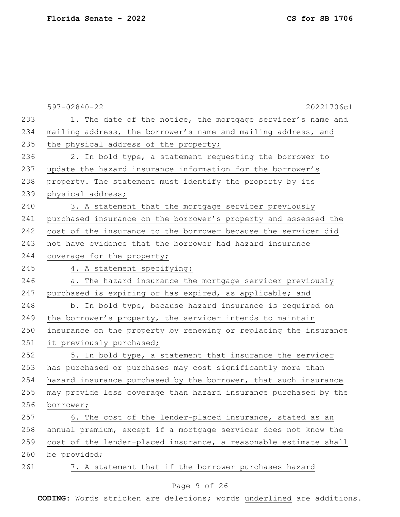|     | $597 - 02840 - 22$<br>20221706c1                                 |
|-----|------------------------------------------------------------------|
| 233 | 1. The date of the notice, the mortgage servicer's name and      |
| 234 | mailing address, the borrower's name and mailing address, and    |
| 235 | the physical address of the property;                            |
| 236 | 2. In bold type, a statement requesting the borrower to          |
| 237 | update the hazard insurance information for the borrower's       |
| 238 | property. The statement must identify the property by its        |
| 239 | physical address;                                                |
| 240 | 3. A statement that the mortgage servicer previously             |
| 241 | purchased insurance on the borrower's property and assessed the  |
| 242 | cost of the insurance to the borrower because the servicer did   |
| 243 | not have evidence that the borrower had hazard insurance         |
| 244 | coverage for the property;                                       |
| 245 | 4. A statement specifying:                                       |
| 246 | a. The hazard insurance the mortgage servicer previously         |
| 247 | purchased is expiring or has expired, as applicable; and         |
| 248 | b. In bold type, because hazard insurance is required on         |
| 249 | the borrower's property, the servicer intends to maintain        |
| 250 | insurance on the property by renewing or replacing the insurance |
| 251 | it previously purchased;                                         |
| 252 | 5. In bold type, a statement that insurance the servicer         |
| 253 | has purchased or purchases may cost significantly more than      |
| 254 | hazard insurance purchased by the borrower, that such insurance  |
| 255 | may provide less coverage than hazard insurance purchased by the |
| 256 | borrower;                                                        |
| 257 | 6. The cost of the lender-placed insurance, stated as an         |
| 258 | annual premium, except if a mortgage servicer does not know the  |
| 259 | cost of the lender-placed insurance, a reasonable estimate shall |
| 260 | be provided;                                                     |
| 261 | 7. A statement that if the borrower purchases hazard             |
|     |                                                                  |

# Page 9 of 26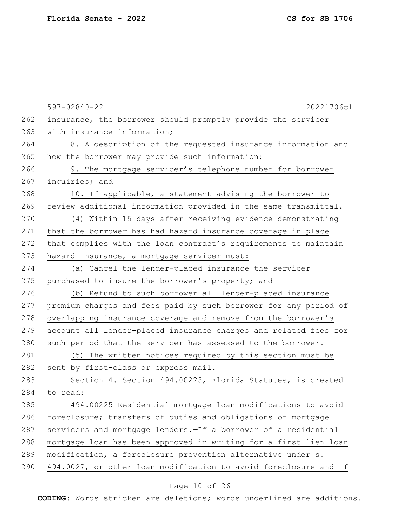597-02840-22 20221706c1 262 insurance, the borrower should promptly provide the servicer 263 with insurance information; 264 8. A description of the requested insurance information and 265 how the borrower may provide such information; 266 9. The mortgage servicer's telephone number for borrower 267 inquiries; and 268 10. If applicable, a statement advising the borrower to 269 review additional information provided in the same transmittal. 270 (4) Within 15 days after receiving evidence demonstrating 271 that the borrower has had hazard insurance coverage in place 272 that complies with the loan contract's requirements to maintain 273 hazard insurance, a mortgage servicer must: 274 (a) Cancel the lender-placed insurance the servicer 275 purchased to insure the borrower's property; and 276 (b) Refund to such borrower all lender-placed insurance 277 premium charges and fees paid by such borrower for any period of 278 overlapping insurance coverage and remove from the borrower's 279 account all lender-placed insurance charges and related fees for 280 such period that the servicer has assessed to the borrower. 281 (5) The written notices required by this section must be 282 sent by first-class or express mail. 283 Section 4. Section 494.00225, Florida Statutes, is created 284 to read: 285 494.00225 Residential mortgage loan modifications to avoid 286 foreclosure; transfers of duties and obligations of mortgage 287 servicers and mortgage lenders. - If a borrower of a residential 288 mortgage loan has been approved in writing for a first lien loan 289 | modification, a foreclosure prevention alternative under s. 290 494.0027, or other loan modification to avoid foreclosure and if

### Page 10 of 26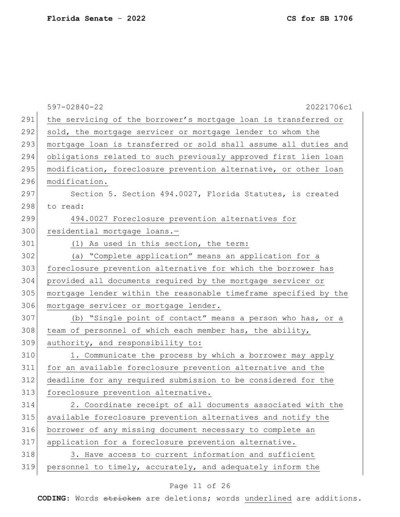|     | $597 - 02840 - 22$<br>20221706c1                                 |
|-----|------------------------------------------------------------------|
| 291 | the servicing of the borrower's mortgage loan is transferred or  |
| 292 | sold, the mortgage servicer or mortgage lender to whom the       |
| 293 | mortgage loan is transferred or sold shall assume all duties and |
| 294 | obligations related to such previously approved first lien loan  |
| 295 | modification, foreclosure prevention alternative, or other loan  |
| 296 | modification.                                                    |
| 297 | Section 5. Section 494.0027, Florida Statutes, is created        |
| 298 | to read:                                                         |
| 299 | 494.0027 Foreclosure prevention alternatives for                 |
| 300 | residential mortgage loans.-                                     |
| 301 | (1) As used in this section, the term:                           |
| 302 | (a) "Complete application" means an application for a            |
| 303 | foreclosure prevention alternative for which the borrower has    |
| 304 | provided all documents required by the mortgage servicer or      |
| 305 | mortgage lender within the reasonable timeframe specified by the |
| 306 | mortgage servicer or mortgage lender.                            |
| 307 | (b) "Single point of contact" means a person who has, or a       |
| 308 | team of personnel of which each member has, the ability,         |
| 309 | authority, and responsibility to:                                |
| 310 | 1. Communicate the process by which a borrower may apply         |
| 311 | for an available foreclosure prevention alternative and the      |
| 312 | deadline for any required submission to be considered for the    |
| 313 | foreclosure prevention alternative.                              |
| 314 | 2. Coordinate receipt of all documents associated with the       |
| 315 | available foreclosure prevention alternatives and notify the     |
| 316 | borrower of any missing document necessary to complete an        |
| 317 | application for a foreclosure prevention alternative.            |
| 318 | 3. Have access to current information and sufficient             |
| 319 | personnel to timely, accurately, and adequately inform the       |

# Page 11 of 26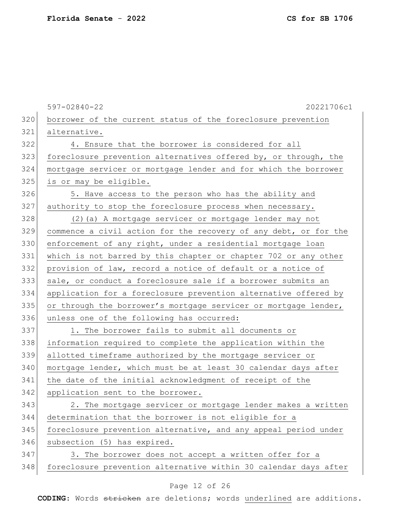597-02840-22 20221706c1 320 borrower of the current status of the foreclosure prevention 321 alternative. 322 4. Ensure that the borrower is considered for all 323 foreclosure prevention alternatives offered by, or through, the 324 mortgage servicer or mortgage lender and for which the borrower 325 is or may be eligible. 326 5. Have access to the person who has the ability and 327 authority to stop the foreclosure process when necessary. 328 (2)(a) A mortgage servicer or mortgage lender may not 329 commence a civil action for the recovery of any debt, or for the 330 enforcement of any right, under a residential mortgage loan 331 which is not barred by this chapter or chapter 702 or any other 332 provision of law, record a notice of default or a notice of 333 sale, or conduct a foreclosure sale if a borrower submits an 334 application for a foreclosure prevention alternative offered by 335 or through the borrower's mortgage servicer or mortgage lender, 336 unless one of the following has occurred: 337 1. The borrower fails to submit all documents or 338 information required to complete the application within the 339 allotted timeframe authorized by the mortgage servicer or 340 mortgage lender, which must be at least 30 calendar days after 341 the date of the initial acknowledgment of receipt of the 342 application sent to the borrower. 343 2. The mortgage servicer or mortgage lender makes a written 344 determination that the borrower is not eligible for a 345 foreclosure prevention alternative, and any appeal period under 346 subsection (5) has expired.  $347$  3. The borrower does not accept a written offer for a 348 foreclosure prevention alternative within 30 calendar days after

#### Page 12 of 26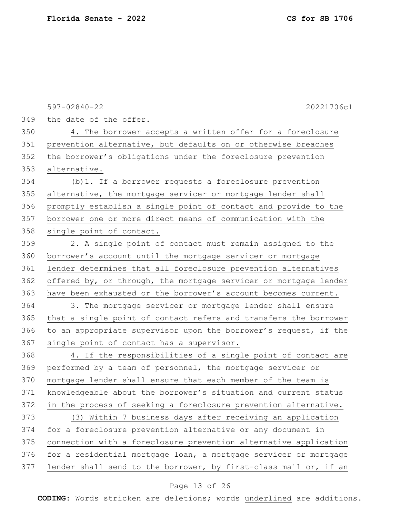597-02840-22 20221706c1 349 the date of the offer. 350 4. The borrower accepts a written offer for a foreclosure 351 prevention alternative, but defaults on or otherwise breaches 352 the borrower's obligations under the foreclosure prevention 353 alternative. 354 (b)1. If a borrower requests a foreclosure prevention 355 alternative, the mortgage servicer or mortgage lender shall 356 promptly establish a single point of contact and provide to the 357 borrower one or more direct means of communication with the 358 single point of contact. 359 2. A single point of contact must remain assigned to the 360 borrower's account until the mortgage servicer or mortgage 361 lender determines that all foreclosure prevention alternatives  $362$  offered by, or through, the mortgage servicer or mortgage lender 363 have been exhausted or the borrower's account becomes current. 364 3. The mortgage servicer or mortgage lender shall ensure 365 that a single point of contact refers and transfers the borrower 366 to an appropriate supervisor upon the borrower's request, if the 367 single point of contact has a supervisor. 368 4. If the responsibilities of a single point of contact are 369 performed by a team of personnel, the mortgage servicer or 370 mortgage lender shall ensure that each member of the team is 371 knowledgeable about the borrower's situation and current status 372 in the process of seeking a foreclosure prevention alternative. 373 (3) Within 7 business days after receiving an application 374 for a foreclosure prevention alternative or any document in 375 connection with a foreclosure prevention alternative application 376 for a residential mortgage loan, a mortgage servicer or mortgage  $377$  lender shall send to the borrower, by first-class mail or, if an

#### Page 13 of 26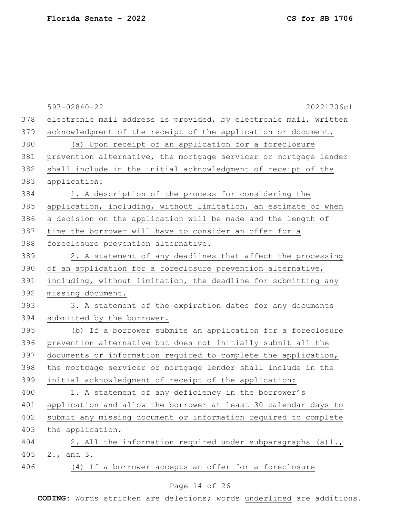|     | $597 - 02840 - 22$<br>20221706c1                                 |
|-----|------------------------------------------------------------------|
| 378 | electronic mail address is provided, by electronic mail, written |
| 379 | acknowledgment of the receipt of the application or document.    |
| 380 | (a) Upon receipt of an application for a foreclosure             |
| 381 | prevention alternative, the mortgage servicer or mortgage lender |
| 382 | shall include in the initial acknowledgment of receipt of the    |
| 383 | application:                                                     |
| 384 | 1. A description of the process for considering the              |
| 385 | application, including, without limitation, an estimate of when  |
| 386 | a decision on the application will be made and the length of     |
| 387 | time the borrower will have to consider an offer for a           |
| 388 | foreclosure prevention alternative.                              |
| 389 | 2. A statement of any deadlines that affect the processing       |
| 390 | of an application for a foreclosure prevention alternative,      |
| 391 | including, without limitation, the deadline for submitting any   |
| 392 | missing document.                                                |
| 393 | 3. A statement of the expiration dates for any documents         |
| 394 | submitted by the borrower.                                       |
| 395 | (b) If a borrower submits an application for a foreclosure       |
| 396 | prevention alternative but does not initially submit all the     |
| 397 | documents or information required to complete the application,   |
| 398 | the mortgage servicer or mortgage lender shall include in the    |
| 399 | initial acknowledgment of receipt of the application:            |
| 400 | 1. A statement of any deficiency in the borrower's               |
| 401 | application and allow the borrower at least 30 calendar days to  |
| 402 | submit any missing document or information required to complete  |
| 403 | the application.                                                 |
| 404 | 2. All the information required under subparagraphs (a)1.,       |
| 405 | 2., and 3.                                                       |
| 406 | (4) If a borrower accepts an offer for a foreclosure             |
|     |                                                                  |

### Page 14 of 26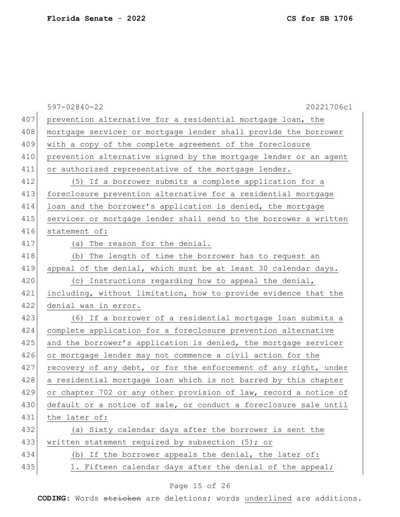|     | $597 - 02840 - 22$<br>20221706c1                                 |
|-----|------------------------------------------------------------------|
| 407 | prevention alternative for a residential mortgage loan, the      |
| 408 | mortgage servicer or mortgage lender shall provide the borrower  |
| 409 | with a copy of the complete agreement of the foreclosure         |
| 410 | prevention alternative signed by the mortgage lender or an agent |
| 411 | or authorized representative of the mortgage lender.             |
| 412 | (5) If a borrower submits a complete application for a           |
| 413 | foreclosure prevention alternative for a residential mortgage    |
| 414 | loan and the borrower's application is denied, the mortgage      |
| 415 | servicer or mortgage lender shall send to the borrower a written |
| 416 | statement of:                                                    |
| 417 | (a) The reason for the denial.                                   |
| 418 | The length of time the borrower has to request an<br>(b)         |
| 419 | appeal of the denial, which must be at least 30 calendar days.   |
| 420 | (c) Instructions regarding how to appeal the denial,             |
| 421 | including, without limitation, how to provide evidence that the  |
| 422 | denial was in error.                                             |
| 423 | (6) If a borrower of a residential mortgage loan submits a       |
| 424 | complete application for a foreclosure prevention alternative    |
| 425 | and the borrower's application is denied, the mortgage servicer  |
| 426 | or mortgage lender may not commence a civil action for the       |
| 427 | recovery of any debt, or for the enforcement of any right, under |
| 428 | a residential mortgage loan which is not barred by this chapter  |
| 429 | or chapter 702 or any other provision of law, record a notice of |
| 430 | default or a notice of sale, or conduct a foreclosure sale until |
| 431 | the later of:                                                    |
| 432 | (a) Sixty calendar days after the borrower is sent the           |
| 433 | written statement required by subsection (5); or                 |
| 434 | (b) If the borrower appeals the denial, the later of:            |
| 435 | 1. Fifteen calendar days after the denial of the appeal;         |

# Page 15 of 26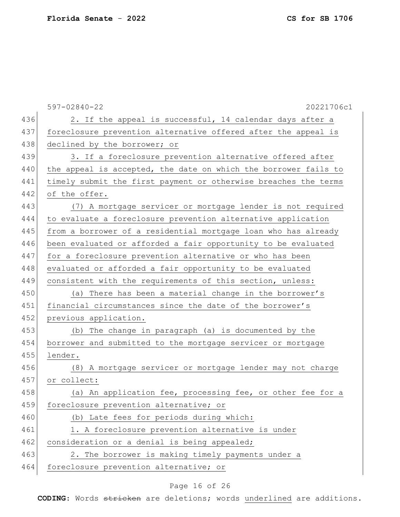597-02840-22 20221706c1 436 2. If the appeal is successful, 14 calendar days after a 437 foreclosure prevention alternative offered after the appeal is 438 declined by the borrower; or 439 3. If a foreclosure prevention alternative offered after 440 the appeal is accepted, the date on which the borrower fails to 441 timely submit the first payment or otherwise breaches the terms 442 of the offer. 443 (7) A mortgage servicer or mortgage lender is not required 444 to evaluate a foreclosure prevention alternative application 445 from a borrower of a residential mortgage loan who has already 446 been evaluated or afforded a fair opportunity to be evaluated 447 for a foreclosure prevention alternative or who has been 448 evaluated or afforded a fair opportunity to be evaluated 449 consistent with the requirements of this section, unless: 450 (a) There has been a material change in the borrower's 451 financial circumstances since the date of the borrower's 452 previous application. 453 (b) The change in paragraph (a) is documented by the 454 borrower and submitted to the mortgage servicer or mortgage 455 lender. 456 (8) A mortgage servicer or mortgage lender may not charge 457 or collect: 458 (a) An application fee, processing fee, or other fee for a 459 foreclosure prevention alternative; or 460 (b) Late fees for periods during which: 461 1. A foreclosure prevention alternative is under 462 consideration or a denial is being appealed; 463 2. The borrower is making timely payments under a 464 foreclosure prevention alternative; or

### Page 16 of 26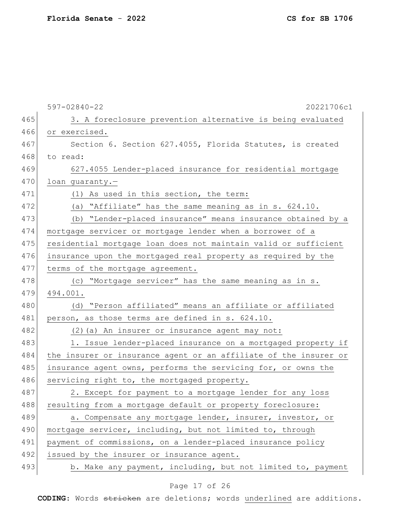|     | $597 - 02840 - 22$<br>20221706c1                                 |
|-----|------------------------------------------------------------------|
| 465 | 3. A foreclosure prevention alternative is being evaluated       |
| 466 | or exercised.                                                    |
| 467 | Section 6. Section 627.4055, Florida Statutes, is created        |
| 468 | to read:                                                         |
| 469 | 627.4055 Lender-placed insurance for residential mortgage        |
| 470 | loan quaranty.-                                                  |
| 471 | (1) As used in this section, the term:                           |
| 472 | (a) "Affiliate" has the same meaning as in s. 624.10.            |
| 473 | (b) "Lender-placed insurance" means insurance obtained by a      |
| 474 | mortgage servicer or mortgage lender when a borrower of a        |
| 475 | residential mortgage loan does not maintain valid or sufficient  |
| 476 | insurance upon the mortgaged real property as required by the    |
| 477 | terms of the mortgage agreement.                                 |
| 478 | (c) "Mortgage servicer" has the same meaning as in s.            |
| 479 | 494.001.                                                         |
| 480 | (d) "Person affiliated" means an affiliate or affiliated         |
| 481 | person, as those terms are defined in s. 624.10.                 |
| 482 | (2) (a) An insurer or insurance agent may not:                   |
| 483 | 1. Issue lender-placed insurance on a mortgaged property if      |
| 484 | the insurer or insurance agent or an affiliate of the insurer or |
| 485 | insurance agent owns, performs the servicing for, or owns the    |
| 486 | servicing right to, the mortgaged property.                      |
| 487 | 2. Except for payment to a mortgage lender for any loss          |
| 488 | resulting from a mortgage default or property foreclosure:       |
| 489 | a. Compensate any mortgage lender, insurer, investor, or         |
| 490 | mortgage servicer, including, but not limited to, through        |
| 491 | payment of commissions, on a lender-placed insurance policy      |
| 492 | issued by the insurer or insurance agent.                        |
| 493 | b. Make any payment, including, but not limited to, payment      |

# Page 17 of 26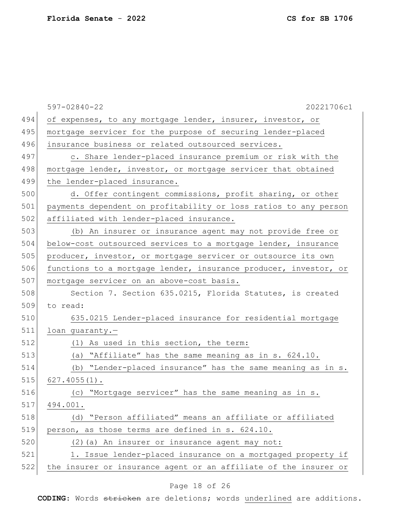|     | $597 - 02840 - 22$<br>20221706c1                                 |
|-----|------------------------------------------------------------------|
| 494 | of expenses, to any mortgage lender, insurer, investor, or       |
| 495 | mortgage servicer for the purpose of securing lender-placed      |
| 496 | insurance business or related outsourced services.               |
| 497 | c. Share lender-placed insurance premium or risk with the        |
| 498 | mortgage lender, investor, or mortgage servicer that obtained    |
| 499 | the lender-placed insurance.                                     |
| 500 | d. Offer contingent commissions, profit sharing, or other        |
| 501 | payments dependent on profitability or loss ratios to any person |
| 502 | affiliated with lender-placed insurance.                         |
| 503 | (b) An insurer or insurance agent may not provide free or        |
| 504 | below-cost outsourced services to a mortgage lender, insurance   |
| 505 | producer, investor, or mortgage servicer or outsource its own    |
| 506 | functions to a mortgage lender, insurance producer, investor, or |
| 507 | mortgage servicer on an above-cost basis.                        |
| 508 | Section 7. Section 635.0215, Florida Statutes, is created        |
| 509 | to read:                                                         |
| 510 | 635.0215 Lender-placed insurance for residential mortgage        |
| 511 | loan guaranty.-                                                  |
| 512 | (1) As used in this section, the term:                           |
| 513 | (a) "Affiliate" has the same meaning as in s. 624.10.            |
| 514 | (b) "Lender-placed insurance" has the same meaning as in s.      |
| 515 | $627.4055(1)$ .                                                  |
| 516 | "Mortgage servicer" has the same meaning as in s.<br>(C)         |
| 517 | 494.001.                                                         |
| 518 | (d) "Person affiliated" means an affiliate or affiliated         |
| 519 | person, as those terms are defined in s. 624.10.                 |
| 520 | (2) (a) An insurer or insurance agent may not:                   |

Page 18 of 26

521 1. Issue lender-placed insurance on a mortgaged property if 522 the insurer or insurance agent or an affiliate of the insurer or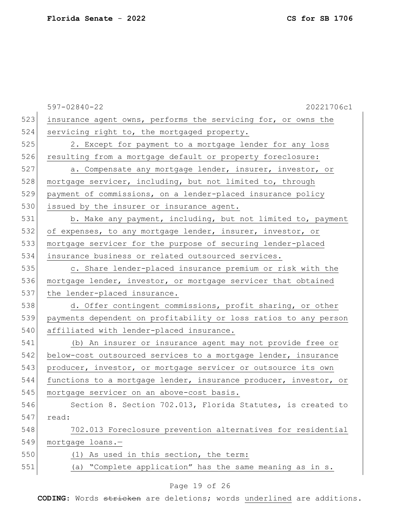|     | $597 - 02840 - 22$<br>20221706c1                                 |
|-----|------------------------------------------------------------------|
| 523 | insurance agent owns, performs the servicing for, or owns the    |
| 524 | servicing right to, the mortgaged property.                      |
| 525 | 2. Except for payment to a mortgage lender for any loss          |
| 526 | resulting from a mortgage default or property foreclosure:       |
| 527 | a. Compensate any mortgage lender, insurer, investor, or         |
| 528 | mortgage servicer, including, but not limited to, through        |
| 529 | payment of commissions, on a lender-placed insurance policy      |
| 530 | issued by the insurer or insurance agent.                        |
| 531 | b. Make any payment, including, but not limited to, payment      |
| 532 | of expenses, to any mortgage lender, insurer, investor, or       |
| 533 | mortgage servicer for the purpose of securing lender-placed      |
| 534 | insurance business or related outsourced services.               |
| 535 | c. Share lender-placed insurance premium or risk with the        |
| 536 | mortgage lender, investor, or mortgage servicer that obtained    |
| 537 | the lender-placed insurance.                                     |
| 538 | d. Offer contingent commissions, profit sharing, or other        |
| 539 | payments dependent on profitability or loss ratios to any person |
| 540 | affiliated with lender-placed insurance.                         |
| 541 | (b) An insurer or insurance agent may not provide free or        |
| 542 | below-cost outsourced services to a mortgage lender, insurance   |
| 543 | producer, investor, or mortgage servicer or outsource its own    |
| 544 | functions to a mortgage lender, insurance producer, investor, or |
| 545 | mortgage servicer on an above-cost basis.                        |
| 546 | Section 8. Section 702.013, Florida Statutes, is created to      |
| 547 | read:                                                            |
| 548 | 702.013 Foreclosure prevention alternatives for residential      |
| 549 | mortgage loans.-                                                 |
| 550 | (1) As used in this section, the term:                           |
| 551 | (a) "Complete application" has the same meaning as in s.         |
|     | Page 19 of 26                                                    |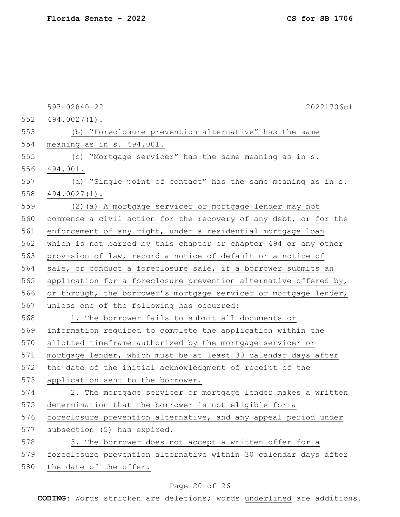597-02840-22 20221706c1  $552 \mid 494.0027(1)$ . 553 (b) "Foreclosure prevention alternative" has the same 554 meaning as in s. 494.001. 555 (c) "Mortgage servicer" has the same meaning as in s. 556 494.001. 557 (d) "Single point of contact" has the same meaning as in s.  $558$  494.0027(1). 559 (2)(a) A mortgage servicer or mortgage lender may not 560 commence a civil action for the recovery of any debt, or for the 561 enforcement of any right, under a residential mortgage loan 562 which is not barred by this chapter or chapter 494 or any other 563 provision of law, record a notice of default or a notice of 564 sale, or conduct a foreclosure sale, if a borrower submits an 565 application for a foreclosure prevention alternative offered by, 566 or through, the borrower's mortgage servicer or mortgage lender, 567 unless one of the following has occurred: 568 1. The borrower fails to submit all documents or 569 information required to complete the application within the 570 allotted timeframe authorized by the mortgage servicer or 571 mortgage lender, which must be at least 30 calendar days after 572 the date of the initial acknowledgment of receipt of the 573 application sent to the borrower. 574 2. The mortgage servicer or mortgage lender makes a written 575 determination that the borrower is not eligible for a 576 foreclosure prevention alternative, and any appeal period under 577 subsection (5) has expired. 578 3. The borrower does not accept a written offer for a 579 foreclosure prevention alternative within 30 calendar days after 580 the date of the offer.

#### Page 20 of 26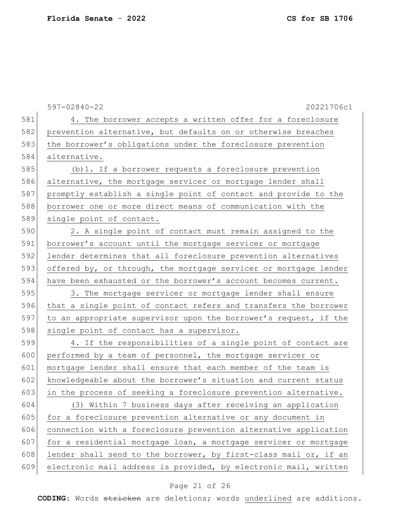|     | $597 - 02840 - 22$<br>20221706c1                                 |
|-----|------------------------------------------------------------------|
| 581 | 4. The borrower accepts a written offer for a foreclosure        |
| 582 | prevention alternative, but defaults on or otherwise breaches    |
| 583 | the borrower's obligations under the foreclosure prevention      |
| 584 | alternative.                                                     |
| 585 | (b) 1. If a borrower requests a foreclosure prevention           |
| 586 | alternative, the mortgage servicer or mortgage lender shall      |
| 587 | promptly establish a single point of contact and provide to the  |
| 588 | borrower one or more direct means of communication with the      |
| 589 | single point of contact.                                         |
| 590 | 2. A single point of contact must remain assigned to the         |
| 591 | borrower's account until the mortgage servicer or mortgage       |
| 592 | lender determines that all foreclosure prevention alternatives   |
| 593 | offered by, or through, the mortgage servicer or mortgage lender |
| 594 | have been exhausted or the borrower's account becomes current.   |
| 595 | 3. The mortgage servicer or mortgage lender shall ensure         |
| 596 | that a single point of contact refers and transfers the borrower |
| 597 | to an appropriate supervisor upon the borrower's request, if the |
| 598 | single point of contact has a supervisor.                        |
| 599 | 4. If the responsibilities of a single point of contact are      |
| 600 | performed by a team of personnel, the mortgage servicer or       |
| 601 | mortgage lender shall ensure that each member of the team is     |
| 602 | knowledgeable about the borrower's situation and current status  |
| 603 | in the process of seeking a foreclosure prevention alternative.  |
| 604 | (3) Within 7 business days after receiving an application        |
| 605 | for a foreclosure prevention alternative or any document in      |
| 606 | connection with a foreclosure prevention alternative application |
| 607 | for a residential mortgage loan, a mortgage servicer or mortgage |
| 608 | lender shall send to the borrower, by first-class mail or, if an |
| 609 | electronic mail address is provided, by electronic mail, written |

# Page 21 of 26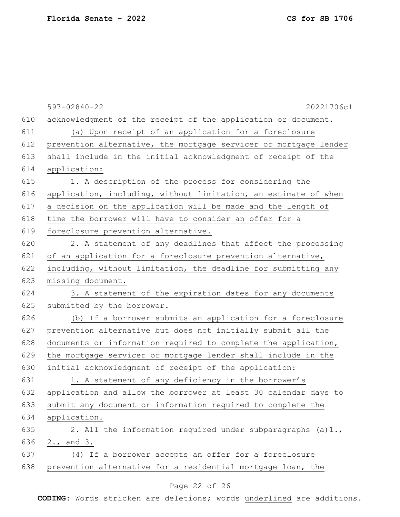|     | 20221706c1<br>$597 - 02840 - 22$                                 |
|-----|------------------------------------------------------------------|
| 610 | acknowledgment of the receipt of the application or document.    |
| 611 | (a) Upon receipt of an application for a foreclosure             |
| 612 | prevention alternative, the mortgage servicer or mortgage lender |
| 613 | shall include in the initial acknowledgment of receipt of the    |
| 614 | application:                                                     |
| 615 | 1. A description of the process for considering the              |
| 616 | application, including, without limitation, an estimate of when  |
| 617 | a decision on the application will be made and the length of     |
| 618 | time the borrower will have to consider an offer for a           |
| 619 | foreclosure prevention alternative.                              |
| 620 | 2. A statement of any deadlines that affect the processing       |
| 621 | of an application for a foreclosure prevention alternative,      |
| 622 | including, without limitation, the deadline for submitting any   |
| 623 | missing document.                                                |
| 624 | 3. A statement of the expiration dates for any documents         |
| 625 | submitted by the borrower.                                       |
| 626 | (b) If a borrower submits an application for a foreclosure       |
| 627 | prevention alternative but does not initially submit all the     |
| 628 | documents or information required to complete the application,   |
| 629 | the mortgage servicer or mortgage lender shall include in the    |
| 630 | initial acknowledgment of receipt of the application:            |
| 631 | 1. A statement of any deficiency in the borrower's               |
| 632 | application and allow the borrower at least 30 calendar days to  |
| 633 | submit any document or information required to complete the      |
| 634 | application.                                                     |
| 635 | 2. All the information required under subparagraphs (a)1.,       |
| 636 | 2., and 3.                                                       |
| 637 | (4) If a borrower accepts an offer for a foreclosure             |
| 638 | prevention alternative for a residential mortgage loan, the      |
|     |                                                                  |

# Page 22 of 26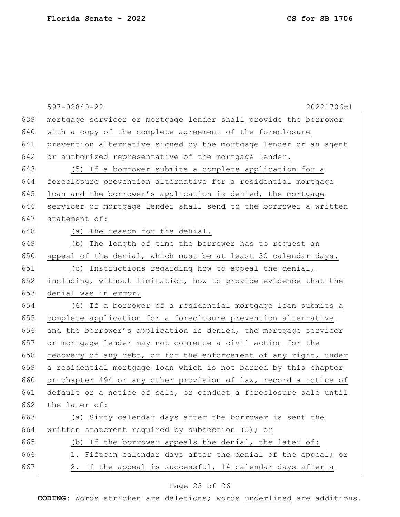|     | $597 - 02840 - 22$<br>20221706c1                                 |
|-----|------------------------------------------------------------------|
| 639 | mortgage servicer or mortgage lender shall provide the borrower  |
| 640 | with a copy of the complete agreement of the foreclosure         |
| 641 | prevention alternative signed by the mortgage lender or an agent |
| 642 | or authorized representative of the mortgage lender.             |
| 643 | (5) If a borrower submits a complete application for a           |
| 644 | foreclosure prevention alternative for a residential mortgage    |
| 645 | loan and the borrower's application is denied, the mortgage      |
| 646 | servicer or mortgage lender shall send to the borrower a written |
| 647 | statement of:                                                    |
| 648 | (a) The reason for the denial.                                   |
| 649 | (b) The length of time the borrower has to request an            |
| 650 | appeal of the denial, which must be at least 30 calendar days.   |
| 651 | (c) Instructions regarding how to appeal the denial,             |
| 652 | including, without limitation, how to provide evidence that the  |
| 653 | denial was in error.                                             |
| 654 | (6) If a borrower of a residential mortgage loan submits a       |
| 655 | complete application for a foreclosure prevention alternative    |
| 656 | and the borrower's application is denied, the mortgage servicer  |
| 657 | or mortgage lender may not commence a civil action for the       |
| 658 | recovery of any debt, or for the enforcement of any right, under |
| 659 | a residential mortgage loan which is not barred by this chapter  |
| 660 | or chapter 494 or any other provision of law, record a notice of |
| 661 | default or a notice of sale, or conduct a foreclosure sale until |
| 662 | the later of:                                                    |
| 663 | (a) Sixty calendar days after the borrower is sent the           |
| 664 | written statement required by subsection (5); or                 |
| 665 | (b) If the borrower appeals the denial, the later of:            |
| 666 | 1. Fifteen calendar days after the denial of the appeal; or      |
| 667 | 2. If the appeal is successful, 14 calendar days after a         |
|     |                                                                  |

# Page 23 of 26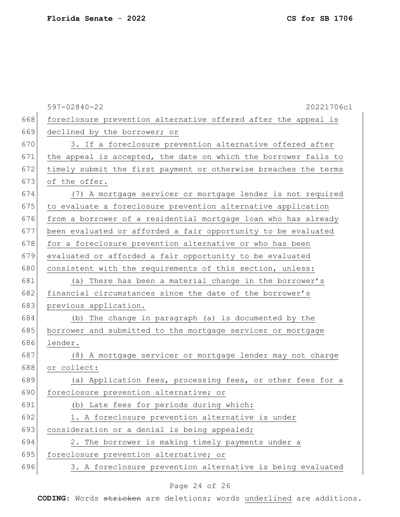|     | $597 - 02840 - 22$<br>20221706c1                                |
|-----|-----------------------------------------------------------------|
| 668 | foreclosure prevention alternative offered after the appeal is  |
| 669 | declined by the borrower; or                                    |
| 670 | 3. If a foreclosure prevention alternative offered after        |
| 671 | the appeal is accepted, the date on which the borrower fails to |
| 672 | timely submit the first payment or otherwise breaches the terms |
| 673 | of the offer.                                                   |
| 674 | (7) A mortgage servicer or mortgage lender is not required      |
| 675 | to evaluate a foreclosure prevention alternative application    |
| 676 | from a borrower of a residential mortgage loan who has already  |
| 677 | been evaluated or afforded a fair opportunity to be evaluated   |
| 678 | for a foreclosure prevention alternative or who has been        |
| 679 | evaluated or afforded a fair opportunity to be evaluated        |
| 680 | consistent with the requirements of this section, unless:       |
| 681 | (a) There has been a material change in the borrower's          |
| 682 | financial circumstances since the date of the borrower's        |
| 683 | previous application.                                           |
| 684 | The change in paragraph (a) is documented by the<br>(b)         |
| 685 | borrower and submitted to the mortgage servicer or mortgage     |
| 686 | lender.                                                         |
| 687 | (8) A mortgage servicer or mortgage lender may not charge       |
| 688 | or collect:                                                     |
| 689 | (a) Application fees, processing fees, or other fees for a      |
| 690 | foreclosure prevention alternative; or                          |
| 691 | (b) Late fees for periods during which:                         |
| 692 | 1. A foreclosure prevention alternative is under                |
| 693 | consideration or a denial is being appealed;                    |
| 694 | 2. The borrower is making timely payments under a               |
| 695 | foreclosure prevention alternative; or                          |
| 696 | 3. A foreclosure prevention alternative is being evaluated      |

# Page 24 of 26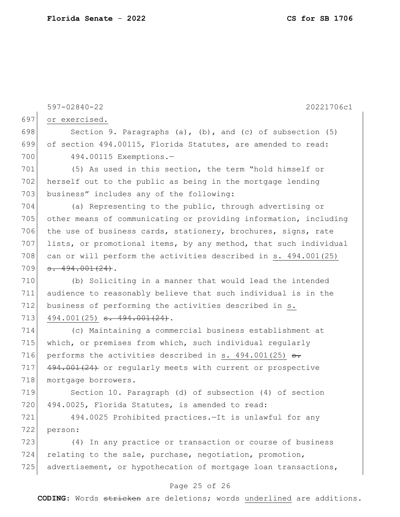597-02840-22 20221706c1 697 or exercised. 698 Section 9. Paragraphs (a), (b), and (c) of subsection  $(5)$ 699 of section 494.00115, Florida Statutes, are amended to read: 700 494.00115 Exemptions.-701 (5) As used in this section, the term "hold himself or 702 herself out to the public as being in the mortgage lending 703 business" includes any of the following: 704 (a) Representing to the public, through advertising or 705 other means of communicating or providing information, including 706 the use of business cards, stationery, brochures, signs, rate 707 lists, or promotional items, by any method, that such individual 708 can or will perform the activities described in s. 494.001(25)  $709 \mid$  s. 494.001(24). 710 (b) Soliciting in a manner that would lead the intended 711 audience to reasonably believe that such individual is in the 712 business of performing the activities described in s. 713 494.001(25) <del>s. 494.001(24)</del>. 714 (c) Maintaining a commercial business establishment at 715 which, or premises from which, such individual regularly 716 performs the activities described in s.  $494.001(25)$  s. 717 494.001(24) or regularly meets with current or prospective 718 mortgage borrowers. 719 Section 10. Paragraph (d) of subsection (4) of section 720 494.0025, Florida Statutes, is amended to read: 721 494.0025 Prohibited practices.—It is unlawful for any 722 person: 723 (4) In any practice or transaction or course of business  $724$  relating to the sale, purchase, negotiation, promotion, 725 advertisement, or hypothecation of mortgage loan transactions,

### Page 25 of 26